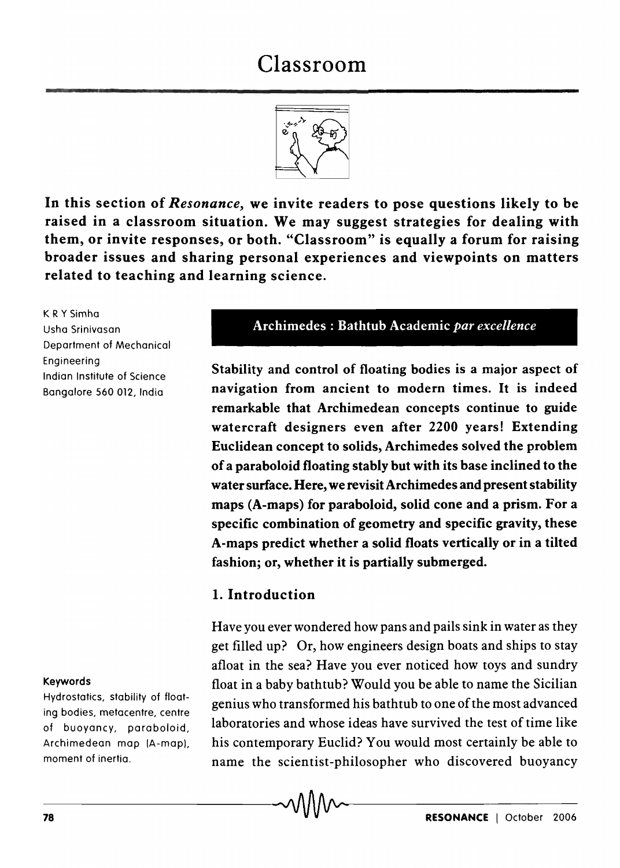# Classroom



In this section of *Resonance,* we invite readers to pose questions likely to be raised in a classroom situation. We may suggest strategies for dealing with them, or invite responses, or both. "Classroom" is equally a forum for raising broader issues and sharing personal experiences and viewpoints on matters related to teaching and learning science.

K R Y Simha Usha Srinivasan Department of Mechanical Engineering Indian Institute of Science Bangalore 560 012, India

#### Keywords

Hydrostatics, stability of floating bodies, metacentre, centre of buoyancy, paraboloid, Archimedean map lA-map), moment of inertia.

#### Archimedes : Bathtub Academic *par excellence*

Stability and control of floating bodies is a major aspect of navigation from ancient to modern times. It is indeed remarkable that Archimedean concepts continue to guide watercraft designers even after 2200 years! Extending Euclidean concept to solids, Archimedes solved the problem of a paraboloid floating stably but with its base inclined to the water surface. Here, we revisit Archimedes and present stability maps (A-maps) for paraboloid, solid cone and a prism. For a specific combination of geometry and specific gravity, these A-maps predict whether a solid floats vertically or in a tilted fashion; or, whether it is partially submerged.

#### 1. Introduction

Have you ever wondered how pans and pails sink in water as they get filled up? Or, how engineers design boats and ships to stay afloat in the sea? Have you ever noticed how toys and sundry float in a baby bathtub? Would you be able to name the Sicilian genius who transformed his bathtub to one of the most advanced laboratories and whose ideas have survived the test of time like his contemporary Euclid? You would most certainly be able to name the scientist-philosopher who discovered buoyancy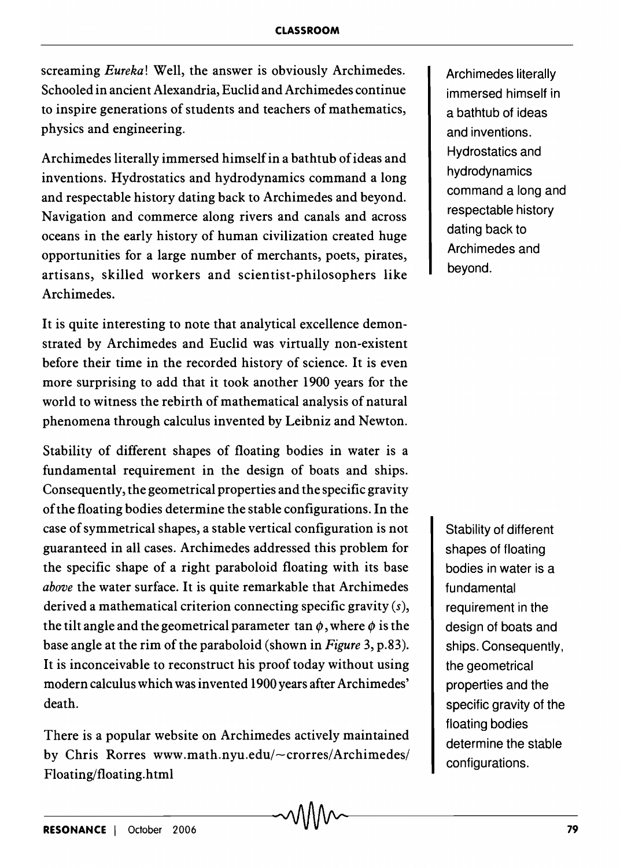screaming *Eureka!* Well, the answer is obviously Archimedes. Schooled in ancient Alexandria, Euclid and Archimedes continue to inspire generations of students and teachers of mathematics, physics and engineering.

Archimedes literally immersed himself in a bathtub of ideas and inventions. Hydrostatics and hydrodynamics command a long and respectable history dating back to Archimedes and beyond. Navigation and commerce along rivers and canals and across oceans in the early history of human civilization created huge opportunities for a large number of merchants, poets, pirates, artisans, skilled workers and scientist-philosophers like Archimedes.

It is quite interesting to note that analytical excellence demonstrated by Archimedes and Euclid was virtually non-existent before their time in the recorded history of science. It is even more surprising to add that it took another 1900 years for the world to witness the rebirth of mathematical analysis of natural phenomena through calculus invented by Leibniz and Newton.

Stability of different shapes of floating bodies in water is a fundamental requirement in the design of boats and ships. Consequently, the geometrical properties and the specific gravity of the floating bodies determine the stable configurations. In the case of symmetrical shapes, a stable vertical configuration is not guaranteed in all cases. Archimedes addressed this problem for the specific shape of a right paraboloid floating with its base *above* the water surface. It is quite remarkable that Archimedes derived a mathematical criterion connecting specific gravity  $(s)$ , the tilt angle and the geometrical parameter tan  $\phi$ , where  $\phi$  is the base angle at the rim of the paraboloid (shown in *Figure* 3, p.83). It is inconceivable to reconstruct his proof today without using modern calculus which was invented 1900 years after Archimedes' death.

There is a popular website on Archimedes actively maintained by Chris Rorres www.math.nyu.edu/ $\sim$ crorres/Archimedes/ Floating/floating.html

-------------------------------~------------------------------7-9

Archimedes literally immersed himself in a bathtub of ideas and inventions. Hydrostatics and hydrodynamics command a long and respectable history dating back to Archimedes and beyond.

Stability of different shapes of floating bodies in water is a fundamental requirement in the design of boats and ships. Consequently, the geometrical properties and the specific gravity of the floating bodies determine the stable configurations.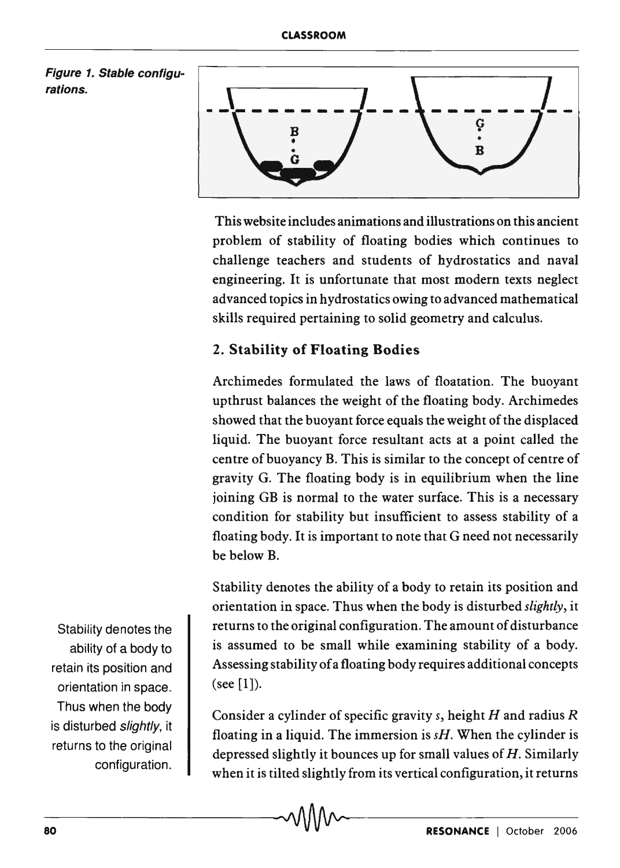Figure 1. Stable configurations.



This website includes animations and illustrations on this ancient problem of stability of floating bodies which continues to challenge teachers and students of hydrostatics and naval engineering. It is unfortunate that most modern texts neglect advanced topics in hydrostatics owing to advanced mathematical skills required pertaining to solid geometry and calculus.

## 2. Stability of Floating Bodies

Archimedes formulated the laws of floatation. The buoyant upthrust balances the weight of the floating body. Archimedes showed that the buoyant force equals the weight of the displaced liquid. The buoyant force resultant acts at a point called the centre of buoyancy B. This is similar to the concept of centre of gravity G. The floating body is in equilibrium when the line joining GB is normal to the water surface. This is a necessary condition for stability but insufficient to assess stability of a floating body. It is important to note that G need not necessarily be below B.

Stability denotes the ability of a body to retain its position and orientation in space. Thus when the body is disturbed *slightly,* it returns to the original configuration. The amount of disturbance is assumed to be small while examining stability of a body. Assessing stability of a floating body requires additional concepts (see [1]).

Consider a cylinder of specific gravity *s,* height *H* and radius *R*  floating in a liquid. The immersion is *sH.* When the cylinder is depressed slightly it bounces up for small values of  $H$ . Similarly when it is tilted slightly from its vertical configuration, it returns

Stability denotes the ability of a body to retain its position and orientation in space. Thus when the body is disturbed slightly, it returns to the original configuration.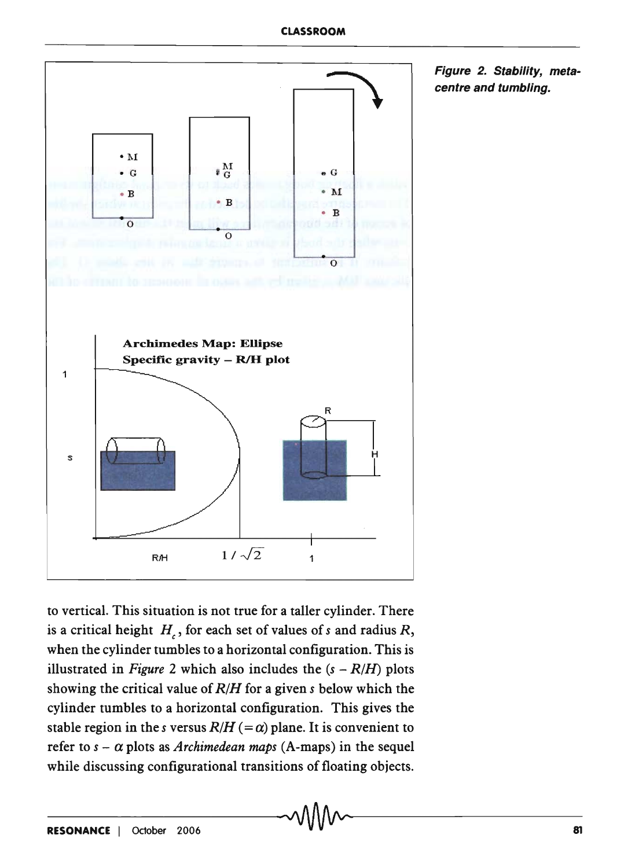

Figure 2. Stability, metacentre and tumbling.

to vertical. This situation is not true for a taller cylinder. There is a critical height  $H_c$ , for each set of values of *s* and radius  $R$ , when the cylinder tumbles to a horizontal configuration. This is illustrated in *Figure* 2 which also includes the  $(s - R/H)$  plots showing the critical value of *RIH* for a given *s* below which the cylinder tumbles to a horizontal configuration. This gives the stable region in the *s* versus  $R/H = \alpha$ ) plane. It is convenient to refer to  $s - \alpha$  plots as *Archimedean maps* (A-maps) in the sequel while discussing configurational transitions of floating objects.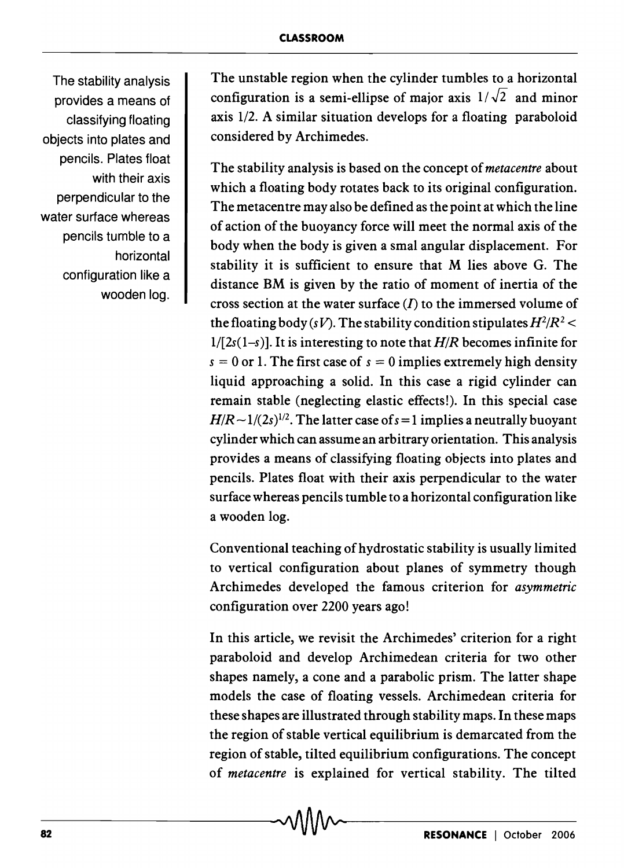The stability analysis provides a means of classifying floating objects into plates and pencils. Plates float with their axis perpendicular to the water surface whereas pencils tumble to a horizontal configuration like a wooden log.

The unstable region when the cylinder tumbles to a horizontal configuration is a semi-ellipse of major axis  $1/\sqrt{2}$  and minor axis 1/2. A similar situation develops for a floating paraboloid considered by Archimedes.

The stability analysis is based on the concept of *metacentre* about which a floating body rotates back to its original configuration. The metacentre may also be defined as the point at which the line of action of the buoyancy force will meet the normal axis of the body when the body is given a smal angular displacement. For stability it is sufficient to ensure that M lies above G. The distance BM is given by the ratio of moment of inertia of the cross section at the water surface  $(I)$  to the immersed volume of the floating body (sV). The stability condition stipulates  $H^2/R^2 <$  $1/[2s(1-s)]$ . It is interesting to note that  $H/R$  becomes infinite for  $s = 0$  or 1. The first case of  $s = 0$  implies extremely high density liquid approaching a solid. In this case a rigid cylinder can remain stable (neglecting elastic effects!). In this special case  $H/R \sim 1/(2s)^{1/2}$ . The latter case of  $s = 1$  implies a neutrally buoyant cylinder which can assume an arbitrary orientation. This analysis provides a means of classifying floating objects into plates and pencils. Plates float with their axis perpendicular to the water surface whereas pencils tumble to a horizontal configuration like a wooden log.

Conventional teaching of hydrostatic stability is usually limited to vertical configuration about planes of symmetry though Archimedes developed the famous criterion for *asymmetric*  configuration over 2200 years ago!

In this article, we revisit the Archimedes' criterion for a right paraboloid and develop Archimedean criteria for two other shapes namely, a cone and a parabolic prism. The latter shape models the case of floating vessels. Archimedean criteria for these shapes are illustrated through stability maps. In these maps the region of stable vertical equilibrium is demarcated from the region of stable, tilted equilibrium configurations. The concept of *metacentre* is explained for vertical stability. The tilted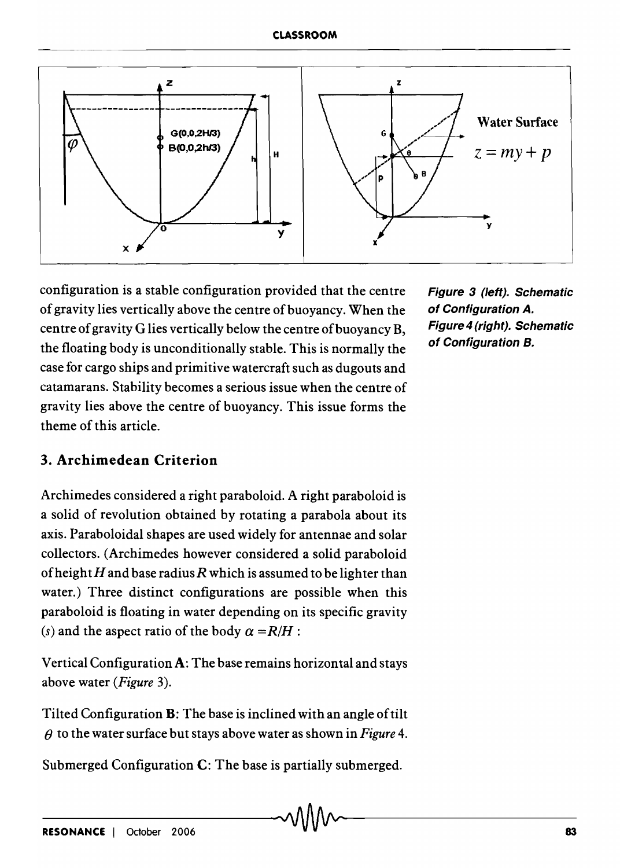

configuration is a stable configuration provided that the centre of gravity lies vertically above the centre of buoyancy. When the centre of gravity G lies vertically below the centre of buoyancy B, the floating body is unconditionally stable. This is normally the case for cargo ships and primitive watercraft such as dugouts and catamarans. Stability becomes a serious issue when the centre of gravity lies above the centre of buoyancy. This issue forms the theme of this article.

Figure 3 (left). Schematic of Configuration A. Figure 4 (right). Schematic of Configuration B.

## 3. Archimedean Criterion

Archimedes considered a right paraboloid. A right paraboloid is a solid of revolution obtained by rotating a parabola about its axis. Paraboloidal shapes are used widely for antennae and solar collectors. (Archimedes however considered a solid paraboloid of height H and base radius R which is assumed to be lighter than water.) Three distinct configurations are possible when this paraboloid is floating in water depending on its specific gravity (s) and the aspect ratio of the body  $\alpha = R/H$ :

Vertical Configuration A: The base remains horizontal and stays above water *(Figure 3).* 

Tilted Configuration **B**: The base is inclined with an angle of tilt  $\theta$  to the water surface but stays above water as shown in *Figure* 4.

Submerged Configuration C: The base is partially submerged.

-------------------------------~~----------------------------83-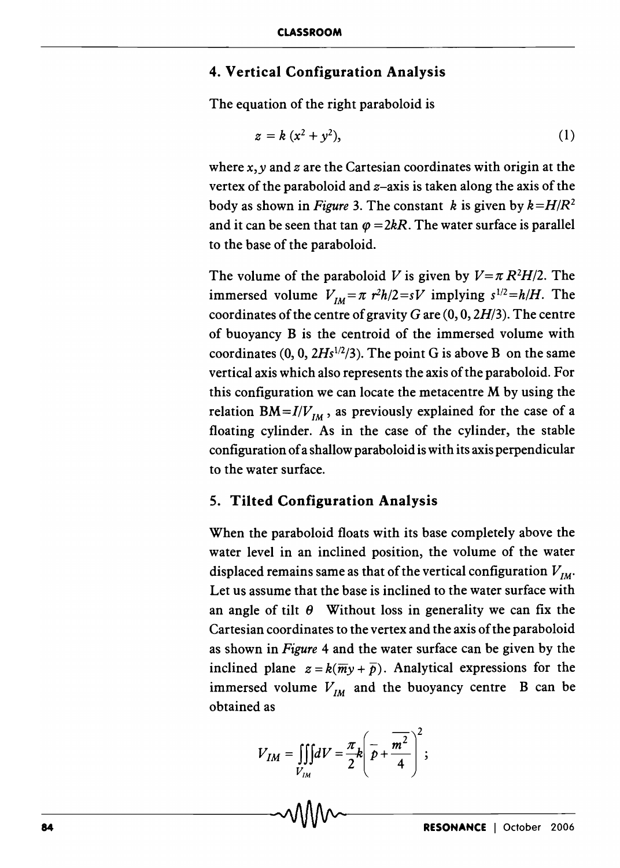### 4. Vertical Configuration Analysis

The equation of the right paraboloid is

$$
z = k(x^2 + y^2), \tag{1}
$$

where  $x, y$  and  $z$  are the Cartesian coordinates with origin at the vertex of the paraboloid and  $z$ -axis is taken along the axis of the body as shown in *Figure* 3. The constant *k* is given by  $k = H/R^2$ and it can be seen that tan  $\varphi = 2kR$ . The water surface is parallel to the base of the paraboloid.

The volume of the paraboloid *V* is given by  $V = \pi R^2H/2$ . The immersed volume  $V_{1M} = \pi r^2 h/2 = sV$  implying  $s^{1/2} = h/H$ . The coordinates of the centre of gravity G are (0, 0, *2H/3).* The centre of buoyancy B is the centroid of the immersed volume with coordinates  $(0, 0, 2Hs^{1/2}/3)$ . The point G is above B on the same vertical axis which also represents the axis of the paraboloid. For this configuration we can locate the metacentre M by using the relation  $BM = I/V_{IM}$ , as previously explained for the case of a floating cylinder. As in the case of the cylinder, the stable configuration of a shallow paraboloid is with its axis perpendicular to the water surface.

#### 5. Tilted Configuration Analysis

When the paraboloid floats with its base completely above the water level in an inclined position, the volume of the water displaced remains same as that of the vertical configuration  $V_{I M}$ . Let us assume that the base is inclined to the water surface with an angle of tilt  $\theta$  Without loss in generality we can fix the Cartesian coordinates to the vertex and the axis of the paraboloid as shown in *Figure* 4 and the water surface can be given by the inclined plane  $z = k(\overline{m}y + \overline{p})$ . Analytical expressions for the immersed volume  $V_{IM}$  and the buoyancy centre B can be obtained as

$$
V_{IM} = \iiint_{V_{IM}} dV = \frac{\pi}{2} k \left( \overline{p} + \frac{\overline{m^2}}{4} \right)^2;
$$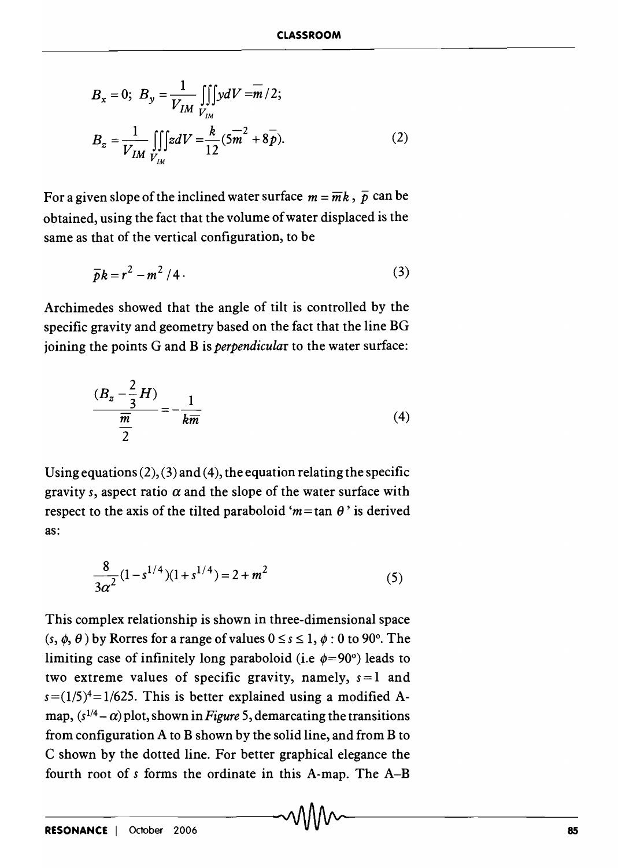$$
B_x = 0; \ B_y = \frac{1}{V_{IM}} \iiint_{V_{IM}} y dV = \frac{1}{m/2};
$$
  

$$
B_z = \frac{1}{V_{IM}} \iiint_{V_{IM}} z dV = \frac{k}{12} (5\overline{m}^2 + 8\overline{p}).
$$
 (2)

For a given slope of the inclined water surface  $m = \overline{m}k$ ,  $\overline{p}$  can be obtained, using the fact that the volume of water displaced is the same as that of the vertical configuration, to be

$$
\bar{p}k = r^2 - m^2/4. \tag{3}
$$

Archimedes showed that the angle of tilt is controlled by the specific gravity and geometry based on the fact that the line BG joining the points G and B is *perpendicular* to the water surface:

$$
\frac{(B_z - \frac{2}{3}H)}{\frac{\overline{m}}{2}} = -\frac{1}{k\overline{m}}
$$
(4)

Using equations  $(2)$ ,  $(3)$  and  $(4)$ , the equation relating the specific gravity s, aspect ratio  $\alpha$  and the slope of the water surface with respect to the axis of the tilted paraboloid ' $m=$ tan  $\theta$ ' is derived as:

$$
\frac{8}{3\alpha^2}(1-s^{1/4})(1+s^{1/4}) = 2+m^2
$$
 (5)

This complex relationship is shown in three-dimensional space  $(s, \phi, \theta)$  by Rorres for a range of values  $0 \le s \le 1$ ,  $\phi : 0$  to 90°. The limiting case of infinitely long paraboloid (i.e  $\phi = 90^\circ$ ) leads to two extreme values of specific gravity, namely,  $s = 1$  and  $s = (1/5)^4 = 1/625$ . This is better explained using a modified Amap,  $(s^{1/4} - \alpha)$  plot, shown in *Figure* 5, demarcating the transitions from configuration A to B shown by the solid line, and from B to C shown by the dotted line. For better graphical elegance the fourth root of  $s$  forms the ordinate in this A-map. The  $A-B$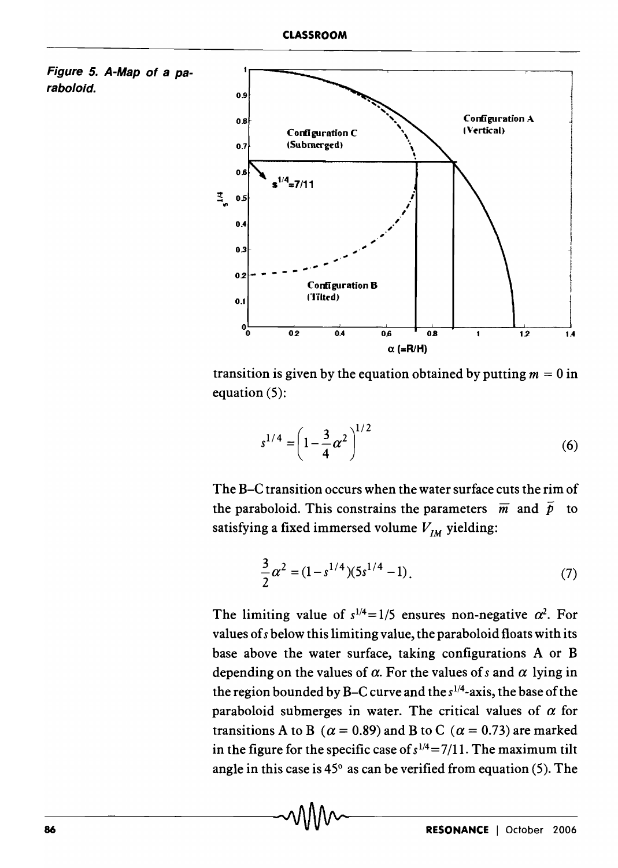



transition is given by the equation obtained by putting  $m = 0$  in equation (5):

$$
s^{1/4} = \left(1 - \frac{3}{4}\alpha^2\right)^{1/2} \tag{6}
$$

The B-C transition occurs when the water surface cuts the rim of the paraboloid. This constrains the parameters  $\overline{m}$  and  $\overline{p}$  to satisfying a fixed immersed volume  $V_{IM}$  yielding:

$$
\frac{3}{2}\alpha^2 = (1 - s^{1/4})(5s^{1/4} - 1).
$$
 (7)

The limiting value of  $s^{1/4}$ =1/5 ensures non-negative  $\alpha^2$ . For values ofs below this limiting value, the paraboloid floats with its base above the water surface, taking configurations A or B depending on the values of  $\alpha$ . For the values of s and  $\alpha$  lying in the region bounded by B-C curve and the *S1/4* -axis, the base of the paraboloid submerges in water. The critical values of  $\alpha$  for transitions A to B ( $\alpha$  = 0.89) and B to C ( $\alpha$  = 0.73) are marked in the figure for the specific case of  $s^{1/4} = 7/11$ . The maximum tilt angle in this case is  $45^{\circ}$  as can be verified from equation (5). The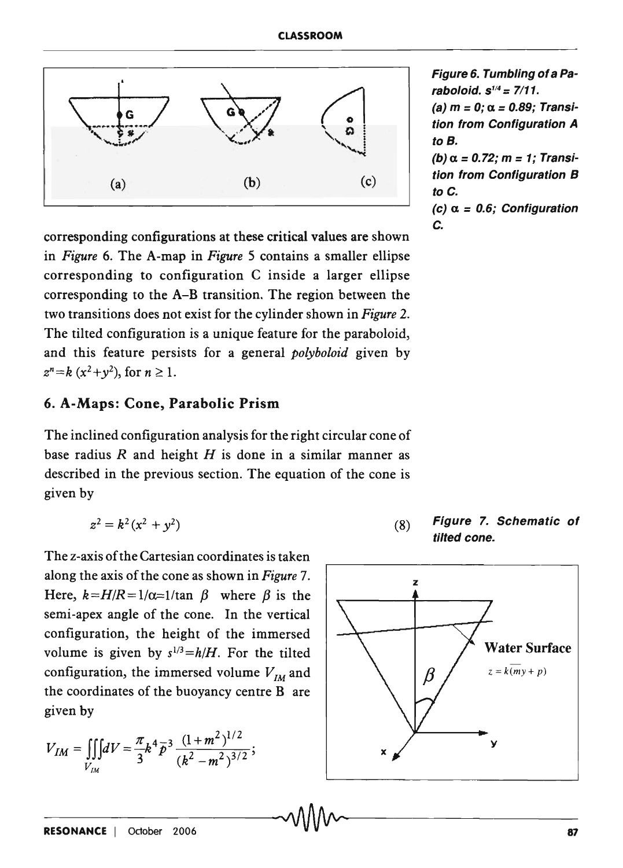

corresponding configurations at these critical values are shown in *Figure* 6. The A-map in *Figure* 5 contains a smaller ellipse corresponding to configuration C inside a larger ellipse corresponding to the A-B transition. The region between the two transitions does not exist for the cylinder shown in *Figure 2.*  The tilted configuration is a unique feature for the paraboloid, and this feature persists for a general *polyboloid* given by  $z^n = k (x^2 + y^2)$ , for  $n \ge 1$ .

#### 6. A-Maps: Cone, Parabolic Prism

The inclined configuration analysis for the right circular cone of base radius *R* and height *H* is done in a similar manner as described in the previous section. The equation of the cone is given by

$$
z^2 = k^2(x^2 + y^2)
$$

The z-axis of the Cartesian coordinates is taken along the axis of the cone as shown in *Figure* 7. Here,  $k = H/R = 1/\alpha = 1/\tan \beta$  where  $\beta$  is the semi-apex angle of the cone. In the vertical configuration, the height of the immersed volume is given by  $s^{1/3} = h/H$ . For the tilted configuration, the immersed volume  $V_{I\mu}$  and the coordinates of the buoyancy centre  $B$  are given by

$$
V_{IM} = \iiint_{V_{IM}} dV = \frac{\pi}{3} k^4 \bar{p}^3 \frac{(1+m^2)^{1/2}}{(k^2-m^2)^{3/2}};
$$

Figure 6. Tumbling of a Paraboloid. *S'14* = 7/11. (a)  $m = 0$ ;  $\alpha = 0.89$ ; Transition from Configuration *A*  to B. (b)  $\alpha$  = 0.72; m = 1; Transition from Configuration B to C. (c)  $\alpha = 0.6$ ; Configuration

C.

(8) Figure 7. Schematic of tilted cone.

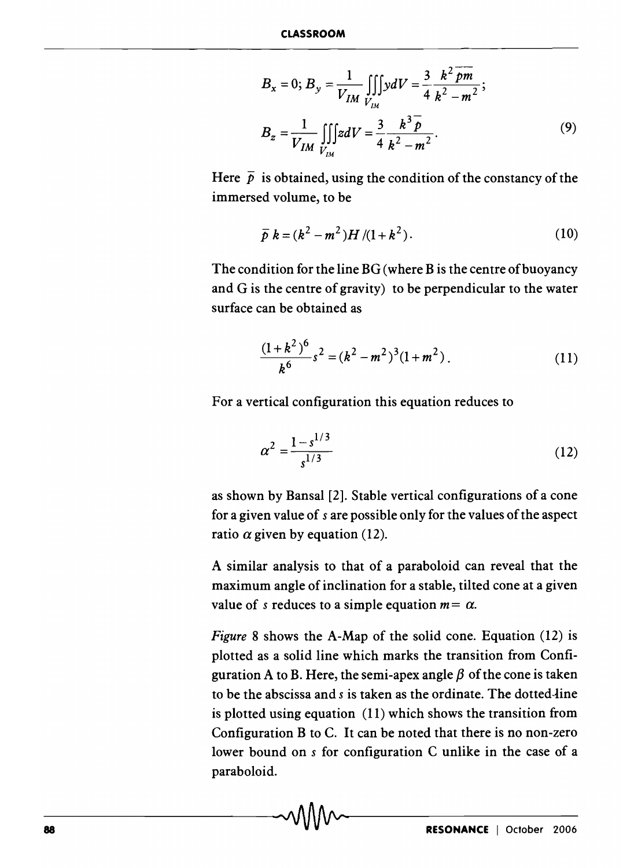**College** 

$$
B_x = 0; B_y = \frac{1}{V_{IM}} \iiint_{V_{IM}} y dV = \frac{3}{4} \frac{k^2 \overline{pm}}{k^2 - m^2};
$$
  

$$
B_z = \frac{1}{V_{IM}} \iiint_{V_{IM}} z dV = \frac{3}{4} \frac{k^3 \overline{p}}{k^2 - m^2}.
$$
 (9)

Here  $\bar{p}$  is obtained, using the condition of the constancy of the immersed volume, to be

$$
\bar{p} k = (k^2 - m^2) H / (1 + k^2).
$$
 (10)

The condition for the line BG (where B is the centre of buoyancy and G is the centre of gravity) to be perpendicular to the water surface can be obtained as

$$
\frac{(1+k^2)^6}{k^6}s^2 = (k^2 - m^2)^3(1+m^2)
$$
 (11)

For a vertical configuration this equation reduces to

$$
\alpha^2 = \frac{1 - s^{1/3}}{s^{1/3}}
$$
 (12)

as shown by Bansal [2]. Stable vertical configurations of a cone for a given value of *s* are possible only for the values of the aspect ratio  $\alpha$  given by equation (12).

A similar analysis to that of a paraboloid can reveal that the maximum angle of inclination for a stable, tilted cone at a given value of *s* reduces to a simple equation  $m = \alpha$ .

*Figure* 8 shows the A-Map of the solid cone. Equation (12) is plotted as a solid line which marks the transition from Configuration A to B. Here, the semi-apex angle  $\beta$  of the cone is taken to be the abscissa and *s* is taken as the ordinate. The dotted-line is plotted using equation (11) which shows the transition from Configuration B to C. It can be noted that there is no non-zero lower bound on *s* for configuration C unlike in the case of a paraboloid.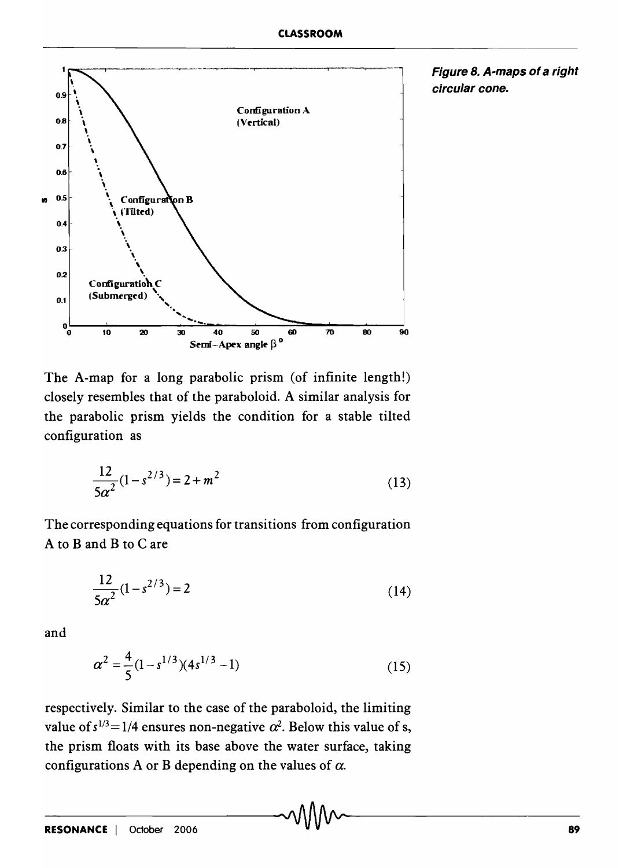

Figure 8. A-maps of a right circular cone.

The A-map for a long parabolic prism (of infinite length!) closely resembles that of the paraboloid. A similar analysis for the parabolic prism yields the condition for a stable tilted configuration as

$$
\frac{12}{5\alpha^2}(1-s^{2/3}) = 2+m^2
$$
 (13)

The corresponding equations for transitions from configuration A to Band B to Care

$$
\frac{12}{5\alpha^2}(1-s^{2/3}) = 2\tag{14}
$$

and

$$
\alpha^2 = \frac{4}{5} (1 - s^{1/3}) (4s^{1/3} - 1)
$$
 (15)

respectively. Similar to the case of the paraboloid, the limiting value of  $s^{1/3}$  = 1/4 ensures non-negative  $\alpha^2$ . Below this value of s, the prism floats with its base above the water surface, taking configurations A or B depending on the values of  $\alpha$ .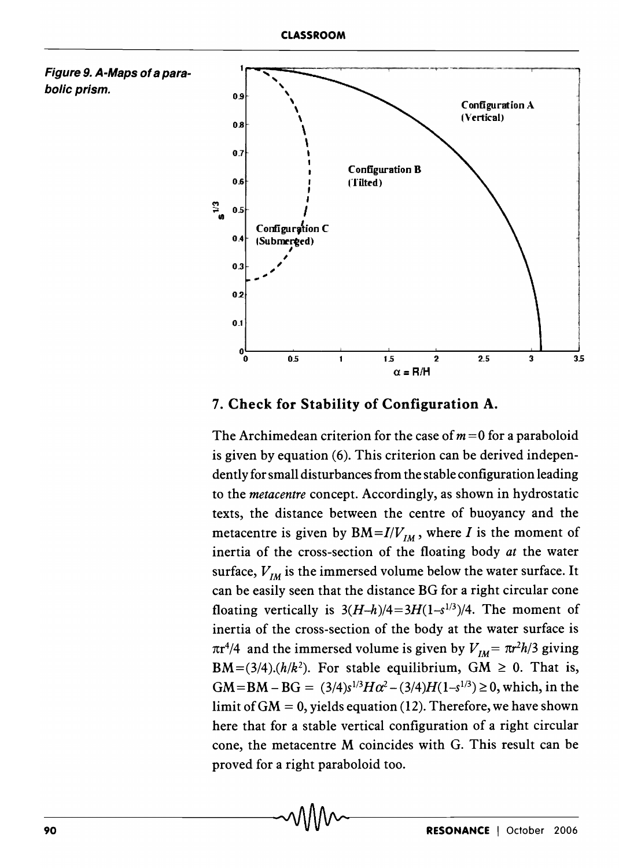Figure 9. A-Maps of a para-

bolic prism.



## 7. Check for Stability of Configuration A.

The Archimedean criterion for the case of  $m = 0$  for a paraboloid is given by equation (6). This criterion can be derived independently for small disturbances from the stable configuration leading to the *metacentre* concept. Accordingly, as shown in hydrostatic texts, the distance between the centre of buoyancy and the metacentre is given by  $BM = I/V_{1M}$ , where *I* is the moment of inertia of the cross-section of the floating body *at* the water surface,  $V_{1M}$  is the immersed volume below the water surface. It can be easily seen that the distance BG for a right circular cone floating vertically is  $3(H-h)/4=3H(1-s^{1/3})/4$ . The moment of inertia of the cross-section of the body at the water surface is  $\pi r^{4}/4$  and the immersed volume is given by  $V_{1M} = \pi r^{2}h/3$  giving  $BM = (3/4)$ .( $h/k<sup>2</sup>$ ). For stable equilibrium,  $GM \ge 0$ . That is,  $GM = BM - BG = (3/4)s^{1/3}H\alpha^2 - (3/4)H(1-s^{1/3}) \ge 0$ , which, in the limit of  $GM = 0$ , yields equation (12). Therefore, we have shown here that for a stable vertical configuration of a right circular cone, the metacentre M coincides with G. This result can be proved for a right paraboloid too.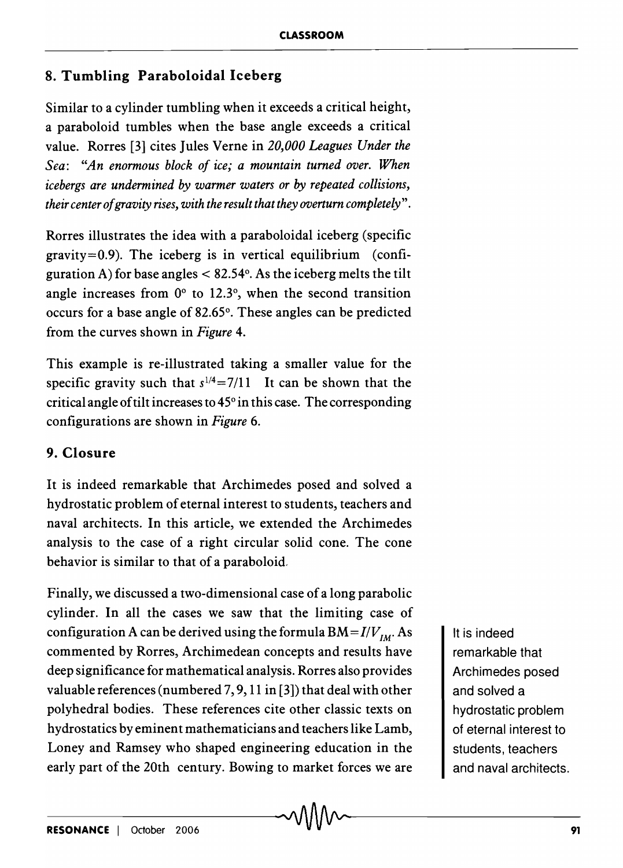## 8. Tumbling Paraboloidal Iceberg

Similar to a cylinder tumbling when it exceeds a critical height, a paraboloid tumbles when the base angle exceeds a critical value. Rorres [3] cites Jules Verne in *20,000 Leagues Under the Sea: "An enormous block of ice; a mountain turned over. When icebergs are undermined by warmer waters or by repeated collisions, their center of gravity rises, with the result that they overturn completely".* 

Rorres illustrates the idea with a paraboloidal iceberg (specific gravity=0.9). The iceberg is in vertical equilibrium (configuration A) for base angles  $\lt 82.54^\circ$ . As the iceberg melts the tilt angle increases from  $0^{\circ}$  to 12.3 $^{\circ}$ , when the second transition occurs for a base angle of 82.65°. These angles can be predicted from the curves shown in *Figure 4.* 

This example is re-illustrated taking a smaller value for the specific gravity such that  $s^{1/4} = 7/11$  It can be shown that the critical angle of tilt increases to 45° in this case. The corresponding configurations are shown in *Figure 6.* 

#### 9. Closure

It is indeed remarkable that Archimedes posed and solved a hydrostatic problem of eternal interest to students, teachers and naval architects. In this article, we extended the Archimedes analysis to the case of a right circular solid cone. The cone behavior is similar to that of a paraboloid,

Finally, we discussed a two-dimensional case of a long parabolic cylinder. In all the cases we saw that the limiting case of configuration A can be derived using the formula  $BM = I/V_{1M}$ . As commented by Rorres, Archimedean concepts and results have deep significance for mathematical analysis. Rorres also provides valuable references (numbered 7,9, 11 in [3]) that deal with other polyhedral bodies. These references cite other classic texts on hydrostatics by eminent mathematicians and teachers like Lamb, Loney and Ramsey who shaped engineering education in the early part of the 20th century. Bowing to market forces we are

It is indeed remarkable that Archimedes posed and solved a hydrostatic problem of eternal interest to students, teachers and naval architects.